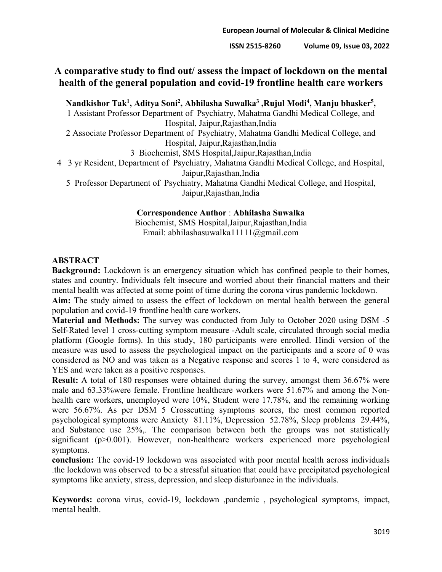## **A comparative study to find out/ assess the impact of lockdown on the mental health of the general population and covid-19 frontline health care workers**

**Nandkishor Tak1, Aditya Soni2, Abhilasha Suwalka3 ,Rujul Modi4, Manju bhasker5,**

1 Assistant Professor Department of Psychiatry, Mahatma Gandhi Medical College, and Hospital, Jaipur,Rajasthan,India

2 Associate Professor Department of Psychiatry, Mahatma Gandhi Medical College, and Hospital, Jaipur,Rajasthan,India

3 Biochemist, SMS Hospital,Jaipur,Rajasthan,India

4 3 yr Resident, Department of Psychiatry, Mahatma Gandhi Medical College, and Hospital,

Jaipur,Rajasthan,India

5 Professor Department of Psychiatry, Mahatma Gandhi Medical College, and Hospital, Jaipur,Rajasthan,India

#### **Correspondence Author** : **Abhilasha Suwalka**

Biochemist, SMS Hospital,Jaipur,Rajasthan,India Email: abhilashasuwalka11111@gmail.com

## **ABSTRACT**

**Background:** Lockdown is an emergency situation which has confined people to their homes, states and country. Individuals felt insecure and worried about their financial matters and their mental health was affected at some point of time during the corona virus pandemic lockdown.

**Aim:** The study aimed to assess the effect of lockdown on mental health between the general population and covid-19 frontline health care workers.

**Material and Methods:** The survey was conducted from July to October 2020 using DSM -5 Self-Rated level 1 cross-cutting symptom measure -Adult scale, circulated through social media platform (Google forms). In this study, 180 participants were enrolled. Hindi version of the measure was used to assess the psychological impact on the participants and a score of 0 was considered as NO and was taken as a Negative response and scores 1 to 4, were considered as YES and were taken as a positive responses.

**Result:** A total of 180 responses were obtained during the survey, amongst them 36.67% were male and 63.33%were female. Frontline healthcare workers were 51.67% and among the Nonhealth care workers, unemployed were 10%, Student were 17.78%, and the remaining working were 56.67%. As per DSM 5 Crosscutting symptoms scores, the most common reported psychological symptoms were Anxiety 81.11%, Depression 52.78%, Sleep problems 29.44%, and Substance use 25%,. The comparison between both the groups was not statistically significant (p>0.001). However, non-healthcare workers experienced more psychological symptoms.

**conclusion:** The covid-19 lockdown was associated with poor mental health across individuals .the lockdown was observed to be a stressful situation that could have precipitated psychological symptoms like anxiety, stress, depression, and sleep disturbance in the individuals.

**Keywords:** corona virus, covid-19, lockdown ,pandemic , psychological symptoms, impact, mental health.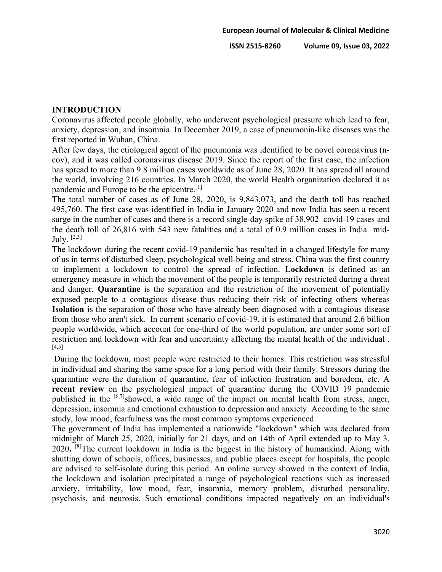### **INTRODUCTION**

Coronavirus affected people globally, who underwent psychological pressure which lead to fear, anxiety, depression, and insomnia. In December 2019, a case of pneumonia-like diseases was the first reported in Wuhan, China.

After few days, the etiological agent of the pneumonia was identified to be novel coronavirus (ncov), and it was called coronavirus disease 2019. Since the report of the first case, the infection has spread to more than 9.8 million cases worldwide as of June 28, 2020. It has spread all around the world, involving 216 countries. In March 2020, the world Health organization declared it as pandemic and Europe to be the epicentre.<sup>[1]</sup>

The total number of cases as of June 28, 2020, is 9,843,073, and the death toll has reached 495,760. The first case was identified in India in January 2020 and now India has seen a recent surge in the number of cases and there is a record single-day spike of 38,902 covid-19 cases and the death toll of 26,816 with 543 new fatalities and a total of 0.9 million cases in India mid-July.  $[2,3]$ 

The lockdown during the recent covid-19 pandemic has resulted in a changed lifestyle for many of us in terms of disturbed sleep, psychological well-being and stress. China was the first country to implement a lockdown to control the spread of infection. **Lockdown** is defined as an emergency measure in which the movement of the people is temporarily restricted during a threat and danger. **Quarantine** is the separation and the restriction of the movement of potentially exposed people to a contagious disease thus reducing their risk of infecting others whereas **Isolation** is the separation of those who have already been diagnosed with a contagious disease from those who aren't sick. In current scenario of covid-19, it is estimated that around 2.6 billion people worldwide, which account for one-third of the world population, are under some sort of restriction and lockdown with fear and uncertainty affecting the mental health of the individual . [4,5]

During the lockdown, most people were restricted to their homes. This restriction was stressful in individual and sharing the same space for a long period with their family. Stressors during the quarantine were the duration of quarantine, fear of infection frustration and boredom, etc. A **recent review** on the psychological impact of quarantine during the COVID 19 pandemic published in the [6,7]showed, a wide range of the impact on mental health from stress, anger, depression, insomnia and emotional exhaustion to depression and anxiety. According to the same study, low mood, fearfulness was the most common symptoms experienced.

The government of India has implemented a nationwide "lockdown" which was declared from midnight of March 25, 2020, initially for 21 days, and on 14th of April extended up to May 3, 2020**.** [8]The current lockdown in India is the biggest in the history of humankind. Along with shutting down of schools, offices, businesses, and public places except for hospitals, the people are advised to self-isolate during this period. An online survey showed in the context of India, the lockdown and isolation precipitated a range of psychological reactions such as increased anxiety, irritability, low mood, fear, insomnia, memory problem, disturbed personality, psychosis, and neurosis. Such emotional conditions impacted negatively on an individual's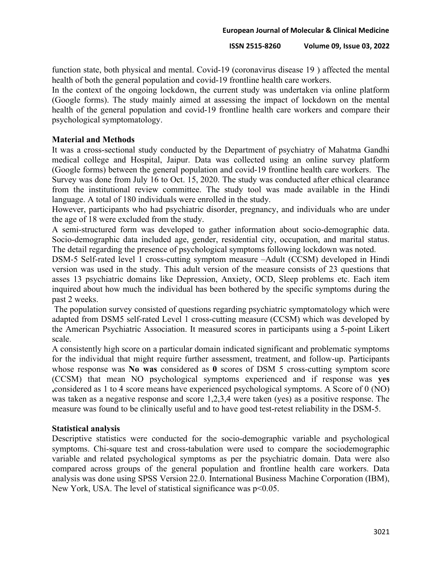function state, both physical and mental. Covid-19 (coronavirus disease 19 ) affected the mental health of both the general population and covid-19 frontline health care workers.

In the context of the ongoing lockdown, the current study was undertaken via online platform (Google forms). The study mainly aimed at assessing the impact of lockdown on the mental health of the general population and covid-19 frontline health care workers and compare their psychological symptomatology.

## **Material and Methods**

It was a cross-sectional study conducted by the Department of psychiatry of Mahatma Gandhi medical college and Hospital, Jaipur. Data was collected using an online survey platform (Google forms) between the general population and covid-19 frontline health care workers. The Survey was done from July 16 to Oct. 15, 2020. The study was conducted after ethical clearance from the institutional review committee. The study tool was made available in the Hindi language. A total of 180 individuals were enrolled in the study.

However, participants who had psychiatric disorder, pregnancy, and individuals who are under the age of 18 were excluded from the study.

A semi-structured form was developed to gather information about socio-demographic data. Socio-demographic data included age, gender, residential city, occupation, and marital status. The detail regarding the presence of psychological symptoms following lockdown was noted.

DSM-5 Self-rated level 1 cross-cutting symptom measure –Adult (CCSM) developed in Hindi version was used in the study. This adult version of the measure consists of 23 questions that asses 13 psychiatric domains like Depression, Anxiety, OCD, Sleep problems etc. Each item inquired about how much the individual has been bothered by the specific symptoms during the past 2 weeks.

The population survey consisted of questions regarding psychiatric symptomatology which were adapted from DSM5 self-rated Level 1 cross-cutting measure (CCSM) which was developed by the American Psychiatric Association. It measured scores in participants using a 5-point Likert scale.

A consistently high score on a particular domain indicated significant and problematic symptoms for the individual that might require further assessment, treatment, and follow-up. Participants whose response was **No was** considered as **0** scores of DSM 5 cross-cutting symptom score (CCSM) that mean NO psychological symptoms experienced and if response was **yes ,**considered as 1 to 4 score means have experienced psychological symptoms. A Score of 0 (NO) was taken as a negative response and score 1,2,3,4 were taken (yes) as a positive response. The measure was found to be clinically useful and to have good test-retest reliability in the DSM-5.

### **Statistical analysis**

Descriptive statistics were conducted for the socio-demographic variable and psychological symptoms. Chi-square test and cross-tabulation were used to compare the sociodemographic variable and related psychological symptoms as per the psychiatric domain. Data were also compared across groups of the general population and frontline health care workers. Data analysis was done using SPSS Version 22.0. International Business Machine Corporation (IBM), New York, USA. The level of statistical significance was p<0.05.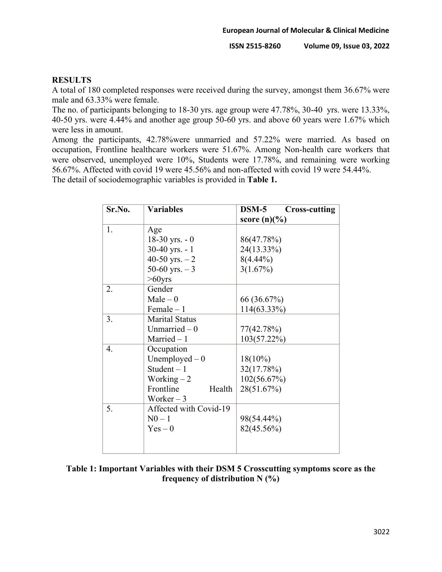## **RESULTS**

A total of 180 completed responses were received during the survey, amongst them 36.67% were male and 63.33% were female.

The no. of participants belonging to 18-30 yrs. age group were 47.78%, 30-40 yrs. were 13.33%, 40-50 yrs. were 4.44% and another age group 50-60 yrs. and above 60 years were 1.67% which were less in amount.

Among the participants, 42.78%were unmarried and 57.22% were married. As based on occupation, Frontline healthcare workers were 51.67%. Among Non-health care workers that were observed, unemployed were 10%, Students were 17.78%, and remaining were working 56.67%. Affected with covid 19 were 45.56% and non-affected with covid 19 were 54.44%.

The detail of sociodemographic variables is provided in **Table 1.**

| Sr.No. | <b>Variables</b>       | $DSM-5$<br><b>Cross-cutting</b> |  |  |
|--------|------------------------|---------------------------------|--|--|
|        |                        | score $(n)(\%)$                 |  |  |
| 1.     | Age                    |                                 |  |  |
|        | $18-30$ yrs. $-0$      | 86(47.78%)                      |  |  |
|        | 30-40 yrs. $-1$        | 24(13.33%)                      |  |  |
|        | 40-50 yrs. $-2$        | $8(4.44\%)$                     |  |  |
|        | 50-60 yrs. $-3$        | 3(1.67%)                        |  |  |
|        | $>60$ yrs              |                                 |  |  |
| 2.     | Gender                 |                                 |  |  |
|        | $Male - 0$             | 66 (36.67%)                     |  |  |
|        | Female $-1$            | 114(63.33%)                     |  |  |
| 3.     | <b>Marital Status</b>  |                                 |  |  |
|        | Unmarried $-0$         | 77(42.78%)                      |  |  |
|        | Married $-1$           | $103(57.22\%)$                  |  |  |
| 4.     | Occupation             |                                 |  |  |
|        | Unemployed $-0$        | $18(10\%)$                      |  |  |
|        | Student $-1$           | 32(17.78%)                      |  |  |
|        | Working $-2$           | 102(56.67%)                     |  |  |
|        | Frontline<br>Health    | 28(51.67%)                      |  |  |
|        | Worker $-3$            |                                 |  |  |
| 5.     | Affected with Covid-19 |                                 |  |  |
|        | $N0-1$                 | 98(54.44%)                      |  |  |
|        | $Yes - 0$              | 82(45.56%)                      |  |  |
|        |                        |                                 |  |  |
|        |                        |                                 |  |  |

**Table 1: Important Variables with their DSM 5 Crosscutting symptoms score as the frequency of distribution N (%)**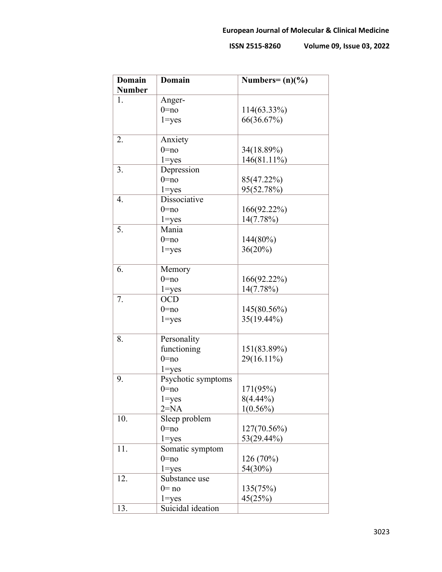| <b>Domain</b> | <b>Domain</b>      | Numbers= $(n)(\%)$ |
|---------------|--------------------|--------------------|
| <b>Number</b> |                    |                    |
| 1.            | Anger-             |                    |
|               | $0 = no$           | 114(63.33%)        |
|               | $1 = yes$          | 66(36.67%)         |
|               |                    |                    |
| 2.            | Anxiety            |                    |
|               | $0 = no$           | 34(18.89%)         |
|               | $1 = yes$          | 146(81.11%)        |
| 3.            | Depression         |                    |
|               | $0 = no$           | 85(47.22%)         |
|               | $1 = yes$          | 95(52.78%)         |
| 4.            | Dissociative       |                    |
|               | $0 = no$           | 166(92.22%)        |
|               | $1 = yes$          | 14(7.78%)          |
| 5.            | Mania              |                    |
|               | $0 = no$           | 144(80%)           |
|               | $1 = yes$          | 36(20%)            |
|               |                    |                    |
| 6.            | Memory             |                    |
|               | $0 = no$           | 166(92.22%)        |
|               | $1 = yes$          | 14(7.78%)          |
| 7.            | <b>OCD</b>         |                    |
|               | $0 = no$           | 145(80.56%)        |
|               | $1 = yes$          | 35(19.44%)         |
|               |                    |                    |
| 8.            | Personality        |                    |
|               | functioning        | 151(83.89%)        |
|               | $0 = no$           | 29(16.11%)         |
|               | $1 = yes$          |                    |
| 9.            | Psychotic symptoms |                    |
|               | $0 = no$           | 171(95%)           |
|               | $1 = yes$          | $8(4.44\%)$        |
|               | $2 = NA$           | $1(0.56\%)$        |
| 10.           | Sleep problem      |                    |
|               | $0 = no$           | $127(70.56\%)$     |
|               | $1 = yes$          | 53(29.44%)         |
| 11.           | Somatic symptom    |                    |
|               | $0 = no$           | 126 (70%)          |
|               | $1 = yes$          | 54(30%)            |
| 12.           | Substance use      |                    |
|               | $0 = no$           | 135(75%)           |
|               | $1 = yes$          | 45(25%)            |
| 13.           | Suicidal ideation  |                    |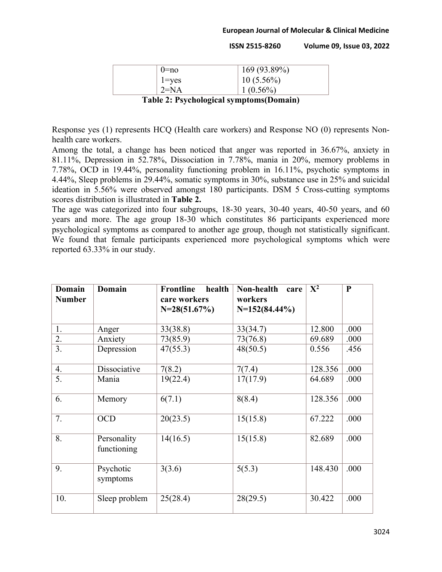#### **European Journal of Molecular & Clinical Medicine**

**ISSN 2515-8260 Volume 09, Issue 03, 2022**

| $() = no$                                                                                 | 169 (93.89%) |  |
|-------------------------------------------------------------------------------------------|--------------|--|
| $\vert$ 1=yes                                                                             | $10(5.56\%)$ |  |
| $2=N_A$                                                                                   | $1(0.56\%)$  |  |
| $\mathbf{T}$ . Li . A. Dansk skrivet se starte se starte $(\mathbf{D}$ , and $\mathbf{L}$ |              |  |

**Table 2: Psychological symptoms(Domain)**

Response yes (1) represents HCQ (Health care workers) and Response NO (0) represents Nonhealth care workers.

Among the total, a change has been noticed that anger was reported in 36.67%, anxiety in 81.11%, Depression in 52.78%, Dissociation in 7.78%, mania in 20%, memory problems in 7.78%, OCD in 19.44%, personality functioning problem in 16.11%, psychotic symptoms in 4.44%, Sleep problems in 29.44%, somatic symptoms in 30%, substance use in 25% and suicidal ideation in 5.56% were observed amongst 180 participants. DSM 5 Cross-cutting symptoms scores distribution is illustrated in **Table 2.**

The age was categorized into four subgroups, 18-30 years, 30-40 years, 40-50 years, and 60 years and more. The age group 18-30 which constitutes 86 participants experienced more psychological symptoms as compared to another age group, though not statistically significant. We found that female participants experienced more psychological symptoms which were reported 63.33% in our study.

| Domain<br><b>Number</b> | Domain                     | <b>Frontline</b><br>health<br>care workers<br>$N=28(51.67\%)$ | Non-health<br>care<br>workers<br>$N=152(84.44\%)$ | $X^2$   | $\mathbf{P}$ |
|-------------------------|----------------------------|---------------------------------------------------------------|---------------------------------------------------|---------|--------------|
| 1.                      | Anger                      | 33(38.8)                                                      | 33(34.7)                                          | 12.800  | .000         |
| 2.                      | Anxiety                    | 73(85.9)                                                      | 73(76.8)                                          | 69.689  | .000         |
| 3.                      | Depression                 | 47(55.3)                                                      | 48(50.5)                                          | 0.556   | .456         |
| 4.                      | Dissociative               | 7(8.2)                                                        | 7(7.4)                                            | 128.356 | .000         |
| 5.                      | Mania                      | 19(22.4)                                                      | 17(17.9)                                          | 64.689  | .000         |
| 6.                      | Memory                     | 6(7.1)                                                        | 8(8.4)                                            | 128.356 | .000         |
| 7.                      | <b>OCD</b>                 | 20(23.5)                                                      | 15(15.8)                                          | 67.222  | .000         |
| 8.                      | Personality<br>functioning | 14(16.5)                                                      | 15(15.8)                                          | 82.689  | .000         |
| 9.                      | Psychotic<br>symptoms      | 3(3.6)                                                        | 5(5.3)                                            | 148.430 | .000         |
| 10.                     | Sleep problem              | 25(28.4)                                                      | 28(29.5)                                          | 30.422  | .000         |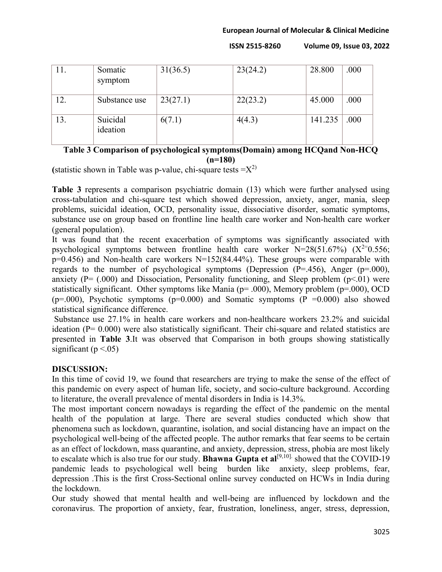#### **European Journal of Molecular & Clinical Medicine**

**ISSN 2515-8260 Volume 09, Issue 03, 2022**

| 11. | Somatic<br>symptom   | 31(36.5) | 23(24.2) | 28.800  | .000 |
|-----|----------------------|----------|----------|---------|------|
| 12. | Substance use        | 23(27.1) | 22(23.2) | 45.000  | .000 |
| 13. | Suicidal<br>ideation | 6(7.1)   | 4(4.3)   | 141.235 | .000 |

# **Table 3 Comparison of psychological symptoms(Domain) among HCQand Non-HCQ (n=180)**

**(**statistic shown in Table was p-value, chi-square tests  $=X^{2}$ )

**Table 3** represents a comparison psychiatric domain (13) which were further analysed using cross-tabulation and chi-square test which showed depression, anxiety, anger, mania, sleep problems, suicidal ideation, OCD, personality issue, dissociative disorder, somatic symptoms, substance use on group based on frontline line health care worker and Non-health care worker (general population).

It was found that the recent exacerbation of symptoms was significantly associated with psychological symptoms between frontline health care worker  $N=28(51.67%)$  ( $X^{2}=0.556$ ;  $p=0.456$ ) and Non-health care workers N=152(84.44%). These groups were comparable with regards to the number of psychological symptoms (Depression (P=.456), Anger (p=.000), anxiety ( $P = (.000)$  and Dissociation, Personality functioning, and Sleep problem ( $p \le 01$ ) were statistically significant. Other symptoms like Mania (p= .000), Memory problem (p=.000), OCD ( $p=0.00$ ), Psychotic symptoms ( $p=0.000$ ) and Somatic symptoms ( $P = 0.000$ ) also showed statistical significance difference.

Substance use 27.1% in health care workers and non-healthcare workers 23.2% and suicidal ideation (P= 0.000) were also statistically significant. Their chi-square and related statistics are presented in **Table 3**.It was observed that Comparison in both groups showing statistically significant ( $p < .05$ )

### **DISCUSSION:**

In this time of covid 19, we found that researchers are trying to make the sense of the effect of this pandemic on every aspect of human life, society, and socio-culture background. According to literature, the overall prevalence of mental disorders in India is 14.3%.

The most important concern nowadays is regarding the effect of the pandemic on the mental health of the population at large. There are several studies conducted which show that phenomena such as lockdown, quarantine, isolation, and social distancing have an impact on the psychological well-being of the affected people. The author remarks that fear seems to be certain as an effect of lockdown, mass quarantine, and anxiety, depression, stress, phobia are most likely to escalate which is also true for our study. **Bhawna Gupta et al**<sup>[9,10]</sup> showed that the COVID-19 pandemic leads to psychological well being burden like anxiety, sleep problems, fear, depression .This is the first Cross-Sectional online survey conducted on HCWs in India during the lockdown.

Our study showed that mental health and well-being are influenced by lockdown and the coronavirus. The proportion of anxiety, fear, frustration, loneliness, anger, stress, depression,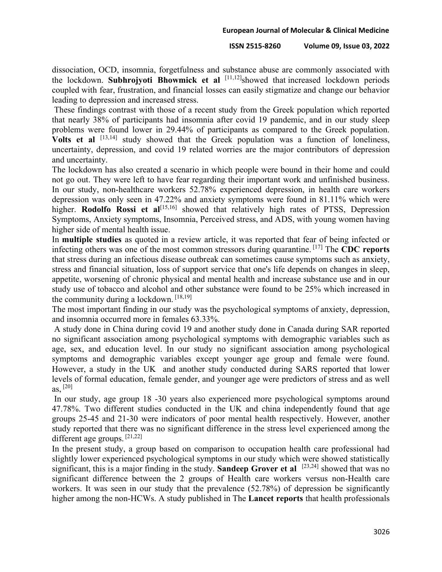dissociation, OCD, insomnia, forgetfulness and substance abuse are commonly associated with the lockdown. **Subhrojyoti Bhowmick et al** [11,12] showed that increased lockdown periods coupled with fear, frustration, and financial losses can easily stigmatize and change our behavior leading to depression and increased stress.

These findings contrast with those of a recent study from the Greek population which reported that nearly 38% of participants had insomnia after covid 19 pandemic, and in our study sleep problems were found lower in 29.44% of participants as compared to the Greek population. **Volts et al** [13,14] study showed that the Greek population was a function of loneliness, uncertainty, depression, and covid 19 related worries are the major contributors of depression and uncertainty.

The lockdown has also created a scenario in which people were bound in their home and could not go out. They were left to have fear regarding their important work and unfinished business. In our study, non-healthcare workers 52.78% experienced depression, in health care workers depression was only seen in 47.22% and anxiety symptoms were found in 81.11% which were higher. **Rodolfo Rossi et al**<sup>[15,16]</sup> showed that relatively high rates of PTSS, Depression Symptoms, Anxiety symptoms, Insomnia, Perceived stress, and ADS, with young women having higher side of mental health issue.

In **multiple studies** as quoted in a review article, it was reported that fear of being infected or infecting others was one of the most common stressors during quarantine. [17] The **CDC reports**  that stress during an infectious disease outbreak can sometimes cause symptoms such as anxiety, stress and financial situation, loss of support service that one's life depends on changes in sleep, appetite, worsening of chronic physical and mental health and increase substance use and in our study use of tobacco and alcohol and other substance were found to be 25% which increased in the community during a lockdown.  $[18, 19]$ 

The most important finding in our study was the psychological symptoms of anxiety, depression, and insomnia occurred more in females 63.33%.

A study done in China during covid 19 and another study done in Canada during SAR reported no significant association among psychological symptoms with demographic variables such as age, sex, and education level. In our study no significant association among psychological symptoms and demographic variables except younger age group and female were found. However, a study in the UK and another study conducted during SARS reported that lower levels of formal education, female gender, and younger age were predictors of stress and as well as,  $^{[20]}$ 

In our study, age group 18 -30 years also experienced more psychological symptoms around 47.78%. Two different studies conducted in the UK and china independently found that age groups 25-45 and 21-30 were indicators of poor mental health respectively. However, another study reported that there was no significant difference in the stress level experienced among the different age groups. [21,22]

In the present study, a group based on comparison to occupation health care professional had slightly lower experienced psychological symptoms in our study which were showed statistically significant, this is a major finding in the study. **Sandeep Grover et al** [23,24] showed that was no significant difference between the 2 groups of Health care workers versus non-Health care workers. It was seen in our study that the prevalence (52.78%) of depression be significantly higher among the non-HCWs. A study published in The **Lancet reports** that health professionals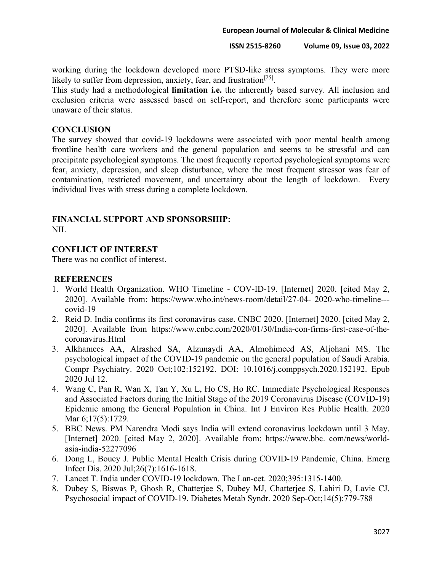#### **European Journal of Molecular & Clinical Medicine**

#### **ISSN 2515-8260 Volume 09, Issue 03, 2022**

working during the lockdown developed more PTSD-like stress symptoms. They were more likely to suffer from depression, anxiety, fear, and frustration<sup>[25]</sup>.

This study had a methodological **limitation i.e.** the inherently based survey. All inclusion and exclusion criteria were assessed based on self-report, and therefore some participants were unaware of their status.

#### **CONCLUSION**

The survey showed that covid-19 lockdowns were associated with poor mental health among frontline health care workers and the general population and seems to be stressful and can precipitate psychological symptoms. The most frequently reported psychological symptoms were fear, anxiety, depression, and sleep disturbance, where the most frequent stressor was fear of contamination, restricted movement, and uncertainty about the length of lockdown. Every individual lives with stress during a complete lockdown.

## **FINANCIAL SUPPORT AND SPONSORSHIP:**

NIL

## **CONFLICT OF INTEREST**

There was no conflict of interest.

### **REFERENCES**

- 1. World Health Organization. WHO Timeline COV-ID-19. [Internet] 2020. [cited May 2, 2020]. Available from: https://www.who.int/news-room/detail/27-04- 2020-who-timeline-- covid-19
- 2. Reid D. India confirms its first coronavirus case. CNBC 2020. [Internet] 2020. [cited May 2, 2020]. Available from https://www.cnbc.com/2020/01/30/India-con-firms-first-case-of-thecoronavirus.Html
- 3. Alkhamees AA, Alrashed SA, Alzunaydi AA, Almohimeed AS, Aljohani MS. The psychological impact of the COVID-19 pandemic on the general population of Saudi Arabia. Compr Psychiatry. 2020 Oct;102:152192. DOI: 10.1016/j.comppsych.2020.152192. Epub 2020 Jul 12.
- 4. Wang C, Pan R, Wan X, Tan Y, Xu L, Ho CS, Ho RC. Immediate Psychological Responses and Associated Factors during the Initial Stage of the 2019 Coronavirus Disease (COVID-19) Epidemic among the General Population in China. Int J Environ Res Public Health. 2020 Mar 6;17(5):1729.
- 5. BBC News. PM Narendra Modi says India will extend coronavirus lockdown until 3 May. [Internet] 2020. [cited May 2, 2020]. Available from: https://www.bbc. com/news/worldasia-india-52277096
- 6. Dong L, Bouey J. Public Mental Health Crisis during COVID-19 Pandemic, China. Emerg Infect Dis. 2020 Jul;26(7):1616-1618.
- 7. Lancet T. India under COVID-19 lockdown. The Lan-cet. 2020;395:1315-1400.
- 8. Dubey S, Biswas P, Ghosh R, Chatterjee S, Dubey MJ, Chatterjee S, Lahiri D, Lavie CJ. Psychosocial impact of COVID-19. Diabetes Metab Syndr. 2020 Sep-Oct;14(5):779-788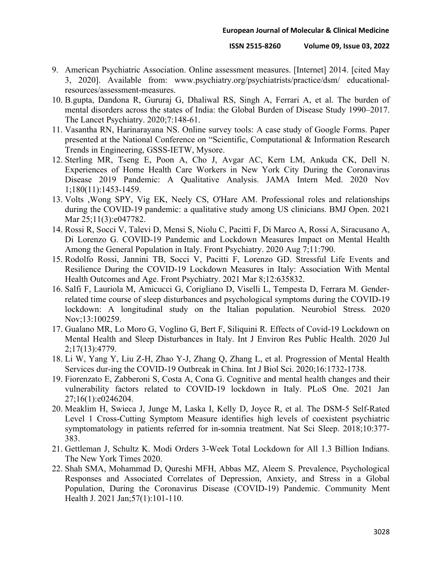- 9. American Psychiatric Association. Online assessment measures. [Internet] 2014. [cited May 3, 2020]. Available from: www.psychiatry.org/psychiatrists/practice/dsm/ educationalresources/assessment-measures.
- 10. B.gupta, Dandona R, Gururaj G, Dhaliwal RS, Singh A, Ferrari A, et al. The burden of mental disorders across the states of India: the Global Burden of Disease Study 1990–2017. The Lancet Psychiatry. 2020;7:148-61.
- 11. Vasantha RN, Harinarayana NS. Online survey tools: A case study of Google Forms. Paper presented at the National Conference on "Scientific, Computational & Information Research Trends in Engineering, GSSS-IETW, Mysore.
- 12. Sterling MR, Tseng E, Poon A, Cho J, Avgar AC, Kern LM, Ankuda CK, Dell N. Experiences of Home Health Care Workers in New York City During the Coronavirus Disease 2019 Pandemic: A Qualitative Analysis. JAMA Intern Med. 2020 Nov 1;180(11):1453-1459.
- 13. Volts ,Wong SPY, Vig EK, Neely CS, O'Hare AM. Professional roles and relationships during the COVID-19 pandemic: a qualitative study among US clinicians. BMJ Open. 2021 Mar 25;11(3):e047782.
- 14. Rossi R, Socci V, Talevi D, Mensi S, Niolu C, Pacitti F, Di Marco A, Rossi A, Siracusano A, Di Lorenzo G. COVID-19 Pandemic and Lockdown Measures Impact on Mental Health Among the General Population in Italy. Front Psychiatry. 2020 Aug 7;11:790.
- 15. Rodolfo Rossi, Jannini TB, Socci V, Pacitti F, Lorenzo GD. Stressful Life Events and Resilience During the COVID-19 Lockdown Measures in Italy: Association With Mental Health Outcomes and Age. Front Psychiatry. 2021 Mar 8;12:635832.
- 16. Salfi F, Lauriola M, Amicucci G, Corigliano D, Viselli L, Tempesta D, Ferrara M. Genderrelated time course of sleep disturbances and psychological symptoms during the COVID-19 lockdown: A longitudinal study on the Italian population. Neurobiol Stress. 2020 Nov;13:100259.
- 17. Gualano MR, Lo Moro G, Voglino G, Bert F, Siliquini R. Effects of Covid-19 Lockdown on Mental Health and Sleep Disturbances in Italy. Int J Environ Res Public Health. 2020 Jul 2;17(13):4779.
- 18. Li W, Yang Y, Liu Z-H, Zhao Y-J, Zhang Q, Zhang L, et al. Progression of Mental Health Services dur-ing the COVID-19 Outbreak in China. Int J Biol Sci. 2020;16:1732-1738.
- 19. Fiorenzato E, Zabberoni S, Costa A, Cona G. Cognitive and mental health changes and their vulnerability factors related to COVID-19 lockdown in Italy. PLoS One. 2021 Jan 27;16(1):e0246204.
- 20. Meaklim H, Swieca J, Junge M, Laska I, Kelly D, Joyce R, et al. The DSM-5 Self-Rated Level 1 Cross-Cutting Symptom Measure identifies high levels of coexistent psychiatric symptomatology in patients referred for in-somnia treatment. Nat Sci Sleep. 2018;10:377- 383.
- 21. Gettleman J, Schultz K. Modi Orders 3-Week Total Lockdown for All 1.3 Billion Indians. The New York Times 2020.
- 22. Shah SMA, Mohammad D, Qureshi MFH, Abbas MZ, Aleem S. Prevalence, Psychological Responses and Associated Correlates of Depression, Anxiety, and Stress in a Global Population, During the Coronavirus Disease (COVID-19) Pandemic. Community Ment Health J. 2021 Jan;57(1):101-110.